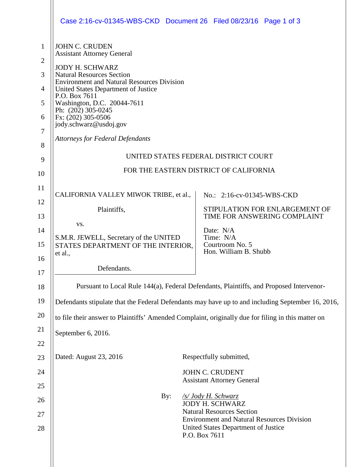|                | Case 2:16-cv-01345-WBS-CKD Document 26 Filed 08/23/16 Page 1 of 3                                 |  |                                                                                                    |  |  |
|----------------|---------------------------------------------------------------------------------------------------|--|----------------------------------------------------------------------------------------------------|--|--|
| $\mathbf{1}$   | <b>JOHN C. CRUDEN</b><br><b>Assistant Attorney General</b>                                        |  |                                                                                                    |  |  |
| $\overline{2}$ | <b>JODY H. SCHWARZ</b>                                                                            |  |                                                                                                    |  |  |
| 3              | <b>Natural Resources Section</b><br><b>Environment and Natural Resources Division</b>             |  |                                                                                                    |  |  |
| $\overline{4}$ | United States Department of Justice<br>P.O. Box 7611                                              |  |                                                                                                    |  |  |
| 5              | Washington, D.C. 20044-7611<br>Ph: (202) 305-0245                                                 |  |                                                                                                    |  |  |
| 6              | Fx: (202) 305-0506<br>jody.schwarz@usdoj.gov                                                      |  |                                                                                                    |  |  |
| $\tau$<br>8    | <b>Attorneys for Federal Defendants</b>                                                           |  |                                                                                                    |  |  |
| 9              | UNITED STATES FEDERAL DISTRICT COURT                                                              |  |                                                                                                    |  |  |
| 10             | FOR THE EASTERN DISTRICT OF CALIFORNIA                                                            |  |                                                                                                    |  |  |
| 11             | CALIFORNIA VALLEY MIWOK TRIBE, et al.,                                                            |  | No.: 2:16-cv-01345-WBS-CKD                                                                         |  |  |
| 12             | Plaintiffs,                                                                                       |  | STIPULATION FOR ENLARGEMENT OF                                                                     |  |  |
| 13             | VS.                                                                                               |  | TIME FOR ANSWERING COMPLAINT                                                                       |  |  |
| 14<br>15       | S.M.R. JEWELL, Secretary of the UNITED<br>STATES DEPARTMENT OF THE INTERIOR,<br>et al.,           |  | Date: N/A<br>Time: N/A<br>Courtroom No. 5<br>Hon. William B. Shubb                                 |  |  |
| 16             | Defendants.                                                                                       |  |                                                                                                    |  |  |
| 17             |                                                                                                   |  |                                                                                                    |  |  |
| 18             | Pursuant to Local Rule 144(a), Federal Defendants, Plaintiffs, and Proposed Intervenor-           |  |                                                                                                    |  |  |
| 19             | Defendants stipulate that the Federal Defendants may have up to and including September 16, 2016, |  |                                                                                                    |  |  |
| 20             |                                                                                                   |  | to file their answer to Plaintiffs' Amended Complaint, originally due for filing in this matter on |  |  |
| 21             | September 6, 2016.                                                                                |  |                                                                                                    |  |  |
| 22             |                                                                                                   |  |                                                                                                    |  |  |
| 23             | Dated: August 23, 2016                                                                            |  | Respectfully submitted,                                                                            |  |  |
| 24             |                                                                                                   |  | <b>JOHN C. CRUDENT</b><br><b>Assistant Attorney General</b>                                        |  |  |
| 25             | By:                                                                                               |  | /s/ Jody H. Schwarz                                                                                |  |  |
| 26             |                                                                                                   |  | <b>JODY H. SCHWARZ</b><br><b>Natural Resources Section</b>                                         |  |  |
| 27<br>28       |                                                                                                   |  | <b>Environment and Natural Resources Division</b><br>United States Department of Justice           |  |  |
|                |                                                                                                   |  | P.O. Box 7611                                                                                      |  |  |
|                |                                                                                                   |  |                                                                                                    |  |  |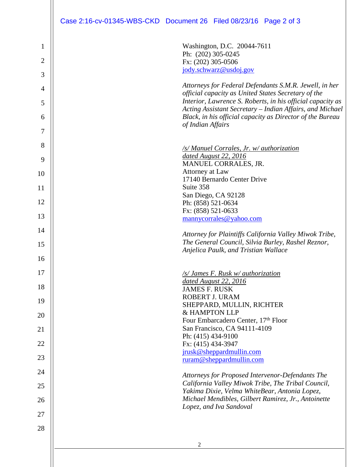|                | Case 2:16-cv-01345-WBS-CKD Document 26 Filed 08/23/16 Page 2 of 3                                                     |
|----------------|-----------------------------------------------------------------------------------------------------------------------|
|                |                                                                                                                       |
| 1              | Washington, D.C. 20044-7611                                                                                           |
| $\overline{2}$ | Ph: (202) 305-0245<br>Fx: (202) 305-0506                                                                              |
| 3              | jody.schwarz@usdoj.gov                                                                                                |
| 4              | Attorneys for Federal Defendants S.M.R. Jewell, in her                                                                |
| 5              | official capacity as United States Secretary of the<br>Interior, Lawrence S. Roberts, in his official capacity as     |
| 6              | Acting Assistant Secretary - Indian Affairs, and Michael<br>Black, in his official capacity as Director of the Bureau |
| 7              | of Indian Affairs                                                                                                     |
|                |                                                                                                                       |
| 8              | /s/ Manuel Corrales, Jr. w/ authorization<br>dated August 22, 2016                                                    |
| 9              | MANUEL CORRALES, JR.<br>Attorney at Law                                                                               |
| 10             | 17140 Bernardo Center Drive                                                                                           |
| 11             | Suite 358<br>San Diego, CA 92128                                                                                      |
| 12             | Ph: (858) 521-0634                                                                                                    |
| 13             | Fx: (858) 521-0633<br>mannycorrales@yahoo.com                                                                         |
| 14             | Attorney for Plaintiffs California Valley Miwok Tribe,                                                                |
| 15             | The General Council, Silvia Burley, Rashel Reznor,                                                                    |
| 16             | Anjelica Paulk, and Tristian Wallace                                                                                  |
| 17             | /s/ James F. Rusk w/ authorization                                                                                    |
| 18             | dated August 22, 2016<br><b>JAMES F. RUSK</b>                                                                         |
| 19             | ROBERT J. URAM                                                                                                        |
| 20             | SHEPPARD, MULLIN, RICHTER<br>& HAMPTON LLP                                                                            |
|                | Four Embarcadero Center, 17th Floor<br>San Francisco, CA 94111-4109                                                   |
| 21             | Ph: (415) 434-9100                                                                                                    |
| 22             | Fx: (415) 434-3947<br>jrusk@sheppardmullin.com                                                                        |
| 23             | ruram@sheppardmullin.com                                                                                              |
| 24             | Attorneys for Proposed Intervenor-Defendants The                                                                      |
| 25             | California Valley Miwok Tribe, The Tribal Council,<br>Yakima Dixie, Velma WhiteBear, Antonia Lopez,                   |
| 26             | Michael Mendibles, Gilbert Ramirez, Jr., Antoinette                                                                   |
| 27             | Lopez, and Iva Sandoval                                                                                               |
| 28             |                                                                                                                       |
|                | 2                                                                                                                     |
|                |                                                                                                                       |